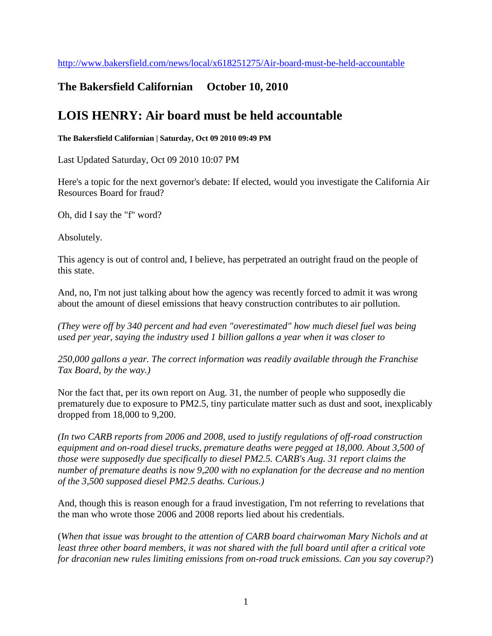## **The Bakersfield Californian October 10, 2010**

## **LOIS HENRY: Air board must be held accountable**

**The Bakersfield Californian | Saturday, Oct 09 2010 09:49 PM** 

Last Updated Saturday, Oct 09 2010 10:07 PM

Here's a topic for the next governor's debate: If elected, would you investigate the California Air Resources Board for fraud?

Oh, did I say the "f" word?

Absolutely.

This agency is out of control and, I believe, has perpetrated an outright fraud on the people of this state.

And, no, I'm not just talking about how the agency was recently forced to admit it was wrong about the amount of diesel emissions that heavy construction contributes to air pollution.

*(They were off by 340 percent and had even "overestimated" how much diesel fuel was being used per year, saying the industry used 1 billion gallons a year when it was closer to* 

*250,000 gallons a year. The correct information was readily available through the Franchise Tax Board, by the way.)*

Nor the fact that, per its own report on Aug. 31, the number of people who supposedly die prematurely due to exposure to PM2.5, tiny particulate matter such as dust and soot, inexplicably dropped from 18,000 to 9,200.

*(In two CARB reports from 2006 and 2008, used to justify regulations of off-road construction equipment and on-road diesel trucks, premature deaths were pegged at 18,000. About 3,500 of those were supposedly due specifically to diesel PM2.5. CARB's Aug. 31 report claims the number of premature deaths is now 9,200 with no explanation for the decrease and no mention of the 3,500 supposed diesel PM2.5 deaths. Curious.)*

And, though this is reason enough for a fraud investigation, I'm not referring to revelations that the man who wrote those 2006 and 2008 reports lied about his credentials.

(*When that issue was brought to the attention of CARB board chairwoman Mary Nichols and at least three other board members, it was not shared with the full board until after a critical vote for draconian new rules limiting emissions from on-road truck emissions. Can you say coverup?*)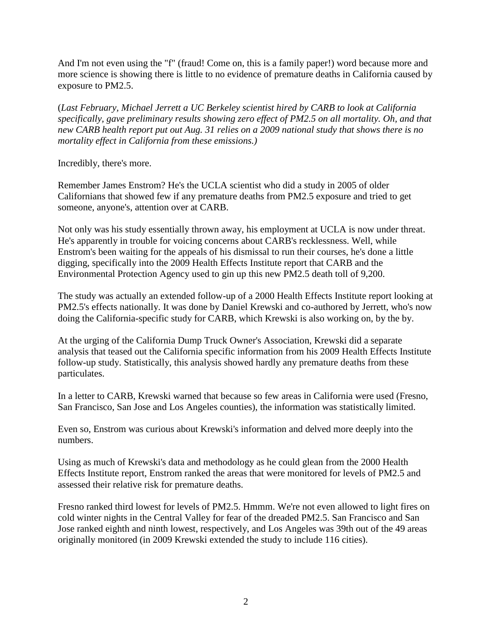And I'm not even using the "f" (fraud! Come on, this is a family paper!) word because more and more science is showing there is little to no evidence of premature deaths in California caused by exposure to PM2.5.

(*Last February, Michael Jerrett a UC Berkeley scientist hired by CARB to look at California specifically, gave preliminary results showing zero effect of PM2.5 on all mortality. Oh, and that new CARB health report put out Aug. 31 relies on a 2009 national study that shows there is no mortality effect in California from these emissions.)*

Incredibly, there's more.

Remember James Enstrom? He's the UCLA scientist who did a study in 2005 of older Californians that showed few if any premature deaths from PM2.5 exposure and tried to get someone, anyone's, attention over at CARB.

Not only was his study essentially thrown away, his employment at UCLA is now under threat. He's apparently in trouble for voicing concerns about CARB's recklessness. Well, while Enstrom's been waiting for the appeals of his dismissal to run their courses, he's done a little digging, specifically into the 2009 Health Effects Institute report that CARB and the Environmental Protection Agency used to gin up this new PM2.5 death toll of 9,200.

The study was actually an extended follow-up of a 2000 Health Effects Institute report looking at PM2.5's effects nationally. It was done by Daniel Krewski and co-authored by Jerrett, who's now doing the California-specific study for CARB, which Krewski is also working on, by the by.

At the urging of the California Dump Truck Owner's Association, Krewski did a separate analysis that teased out the California specific information from his 2009 Health Effects Institute follow-up study. Statistically, this analysis showed hardly any premature deaths from these particulates.

In a letter to CARB, Krewski warned that because so few areas in California were used (Fresno, San Francisco, San Jose and Los Angeles counties), the information was statistically limited.

Even so, Enstrom was curious about Krewski's information and delved more deeply into the numbers.

Using as much of Krewski's data and methodology as he could glean from the 2000 Health Effects Institute report, Enstrom ranked the areas that were monitored for levels of PM2.5 and assessed their relative risk for premature deaths.

Fresno ranked third lowest for levels of PM2.5. Hmmm. We're not even allowed to light fires on cold winter nights in the Central Valley for fear of the dreaded PM2.5. San Francisco and San Jose ranked eighth and ninth lowest, respectively, and Los Angeles was 39th out of the 49 areas originally monitored (in 2009 Krewski extended the study to include 116 cities).